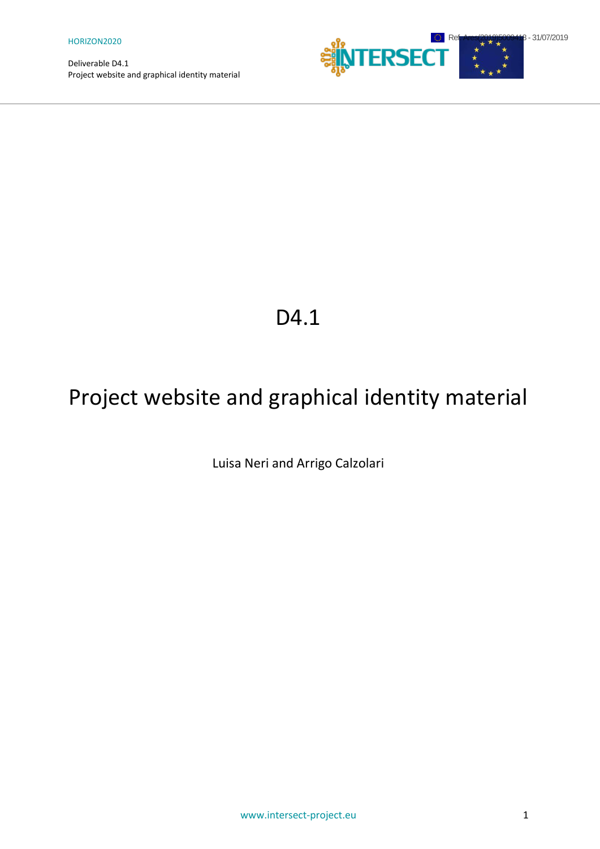

## D<sub>4.1</sub>

# Project website and graphical identity material

Luisa Neri and Arrigo Calzolari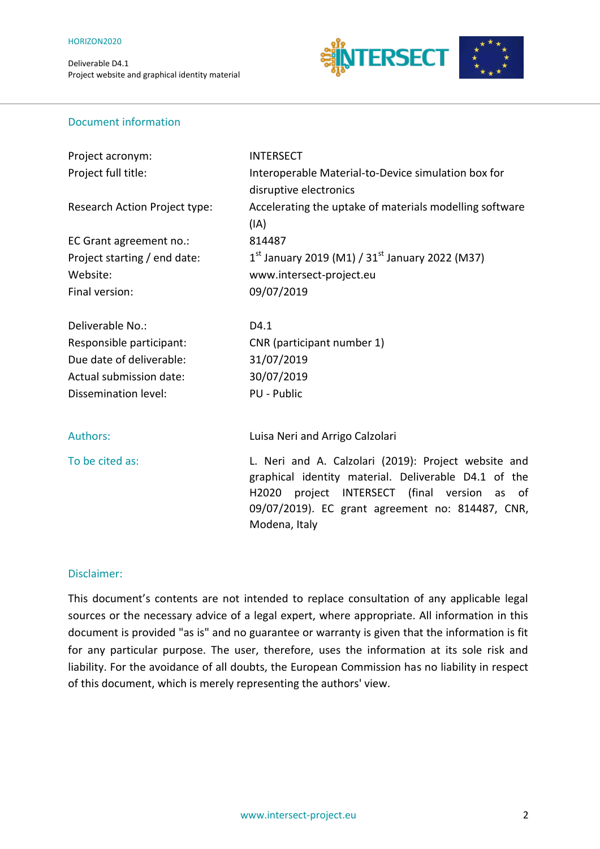

#### Document information

| Project acronym:              | <b>INTERSECT</b>                                                                                                                                                                                                                          |
|-------------------------------|-------------------------------------------------------------------------------------------------------------------------------------------------------------------------------------------------------------------------------------------|
| Project full title:           | Interoperable Material-to-Device simulation box for                                                                                                                                                                                       |
|                               | disruptive electronics                                                                                                                                                                                                                    |
| Research Action Project type: | Accelerating the uptake of materials modelling software                                                                                                                                                                                   |
|                               | (IA)                                                                                                                                                                                                                                      |
| EC Grant agreement no.:       | 814487                                                                                                                                                                                                                                    |
| Project starting / end date:  | $1^{st}$ January 2019 (M1) / 31st January 2022 (M37)                                                                                                                                                                                      |
| Website:                      | www.intersect-project.eu                                                                                                                                                                                                                  |
| Final version:                | 09/07/2019                                                                                                                                                                                                                                |
|                               |                                                                                                                                                                                                                                           |
| Deliverable No.:              | D4.1                                                                                                                                                                                                                                      |
| Responsible participant:      | CNR (participant number 1)                                                                                                                                                                                                                |
| Due date of deliverable:      | 31/07/2019                                                                                                                                                                                                                                |
| Actual submission date:       | 30/07/2019                                                                                                                                                                                                                                |
| Dissemination level:          | <b>PU - Public</b>                                                                                                                                                                                                                        |
|                               |                                                                                                                                                                                                                                           |
| Authors:                      | Luisa Neri and Arrigo Calzolari                                                                                                                                                                                                           |
| To be cited as:               | L. Neri and A. Calzolari (2019): Project website and<br>graphical identity material. Deliverable D4.1 of the<br>project INTERSECT (final version as<br>H2020<br>- of<br>09/07/2019). EC grant agreement no: 814487, CNR,<br>Modena, Italy |
|                               |                                                                                                                                                                                                                                           |

#### Disclaimer:

This document's contents are not intended to replace consultation of any applicable legal sources or the necessary advice of a legal expert, where appropriate. All information in this document is provided "as is" and no guarantee or warranty is given that the information is fit for any particular purpose. The user, therefore, uses the information at its sole risk and liability. For the avoidance of all doubts, the European Commission has no liability in respect of this document, which is merely representing the authors' view.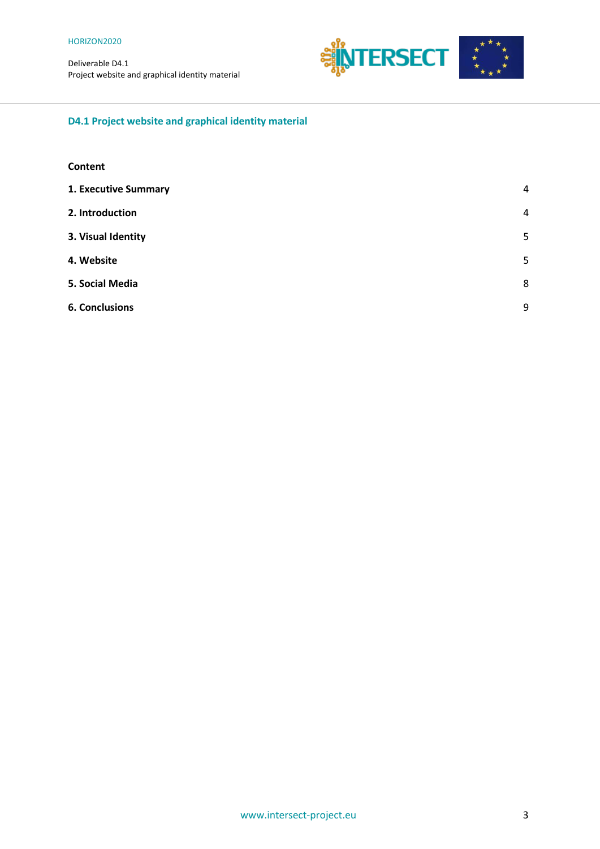Deliverable D4.1



## **D4.1 Project website and graphical identity material**

#### **Content**

| 1. Executive Summary  | $\overline{4}$ |
|-----------------------|----------------|
| 2. Introduction       | $\overline{4}$ |
| 3. Visual Identity    | 5              |
| 4. Website            | 5              |
| 5. Social Media       | 8              |
| <b>6. Conclusions</b> | 9              |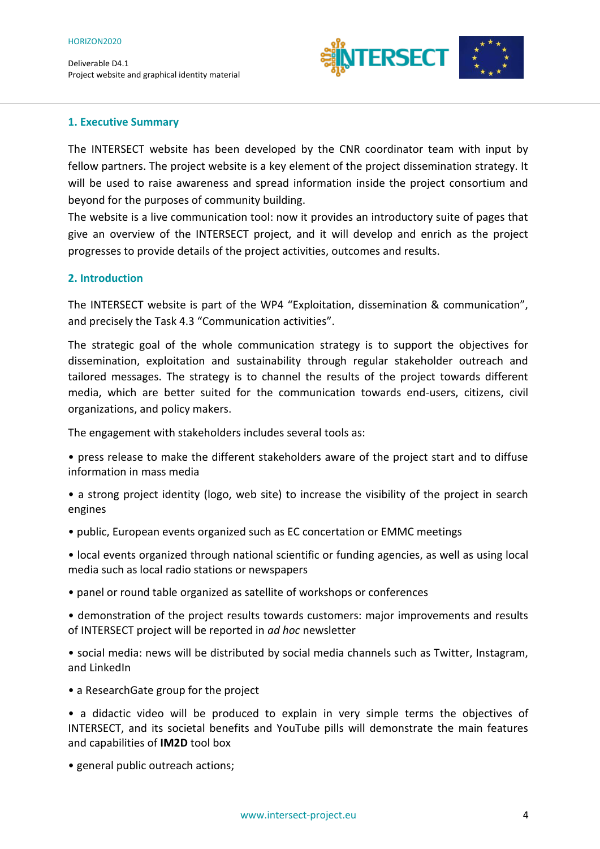

#### <span id="page-3-0"></span>**1. Executive Summary**

The INTERSECT website has been developed by the CNR coordinator team with input by fellow partners. The project website is a key element of the project dissemination strategy. It will be used to raise awareness and spread information inside the project consortium and beyond for the purposes of community building.

The website is a live communication tool: now it provides an introductory suite of pages that give an overview of the INTERSECT project, and it will develop and enrich as the project progresses to provide details of the project activities, outcomes and results.

#### <span id="page-3-1"></span>**2. Introduction**

The INTERSECT website is part of the WP4 "Exploitation, dissemination & communication", and precisely the Task 4.3 "Communication activities".

The strategic goal of the whole communication strategy is to support the objectives for dissemination, exploitation and sustainability through regular stakeholder outreach and tailored messages. The strategy is to channel the results of the project towards different media, which are better suited for the communication towards end-users, citizens, civil organizations, and policy makers.

The engagement with stakeholders includes several tools as:

• press release to make the different stakeholders aware of the project start and to diffuse information in mass media

- a strong project identity (logo, web site) to increase the visibility of the project in search engines
- public, European events organized such as EC concertation or EMMC meetings

• local events organized through national scientific or funding agencies, as well as using local media such as local radio stations or newspapers

• panel or round table organized as satellite of workshops or conferences

• demonstration of the project results towards customers: major improvements and results of INTERSECT project will be reported in *ad hoc* newsletter

• social media: news will be distributed by social media channels such as Twitter, Instagram, and LinkedIn

• a ResearchGate group for the project

• a didactic video will be produced to explain in very simple terms the objectives of INTERSECT, and its societal benefits and YouTube pills will demonstrate the main features and capabilities of **IM2D** tool box

• general public outreach actions;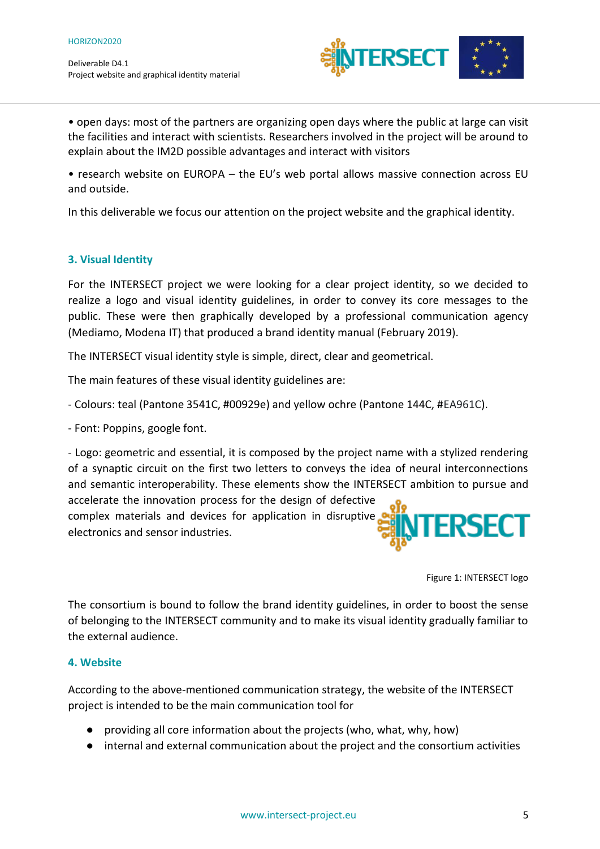

• open days: most of the partners are organizing open days where the public at large can visit the facilities and interact with scientists. Researchers involved in the project will be around to explain about the IM2D possible advantages and interact with visitors

• research website on EUROPA – the EU's web portal allows massive connection across EU and outside.

In this deliverable we focus our attention on the project website and the graphical identity.

### <span id="page-4-0"></span>**3. Visual Identity**

For the INTERSECT project we were looking for a clear project identity, so we decided to realize a logo and visual identity guidelines, in order to convey its core messages to the public. These were then graphically developed by a professional communication agency (Mediamo, Modena IT) that produced a brand identity manual (February 2019).

The INTERSECT visual identity style is simple, direct, clear and geometrical.

The main features of these visual identity guidelines are:

- Colours: teal (Pantone 3541C, #00929e) and yellow ochre (Pantone 144C, #EA961C).

- Font: Poppins, google font.

- Logo: geometric and essential, it is composed by the project name with a stylized rendering of a synaptic circuit on the first two letters to conveys the idea of neural interconnections and semantic interoperability. These elements show the INTERSECT ambition to pursue and

accelerate the innovation process for the design of defective complex materials and devices for application in disruptive electronics and sensor industries.



Figure 1: INTERSECT logo

The consortium is bound to follow the brand identity guidelines, in order to boost the sense of belonging to the INTERSECT community and to make its visual identity gradually familiar to the external audience.

#### <span id="page-4-1"></span>**4. Website**

According to the above-mentioned communication strategy, the website of the INTERSECT project is intended to be the main communication tool for

- providing all core information about the projects (who, what, why, how)
- internal and external communication about the project and the consortium activities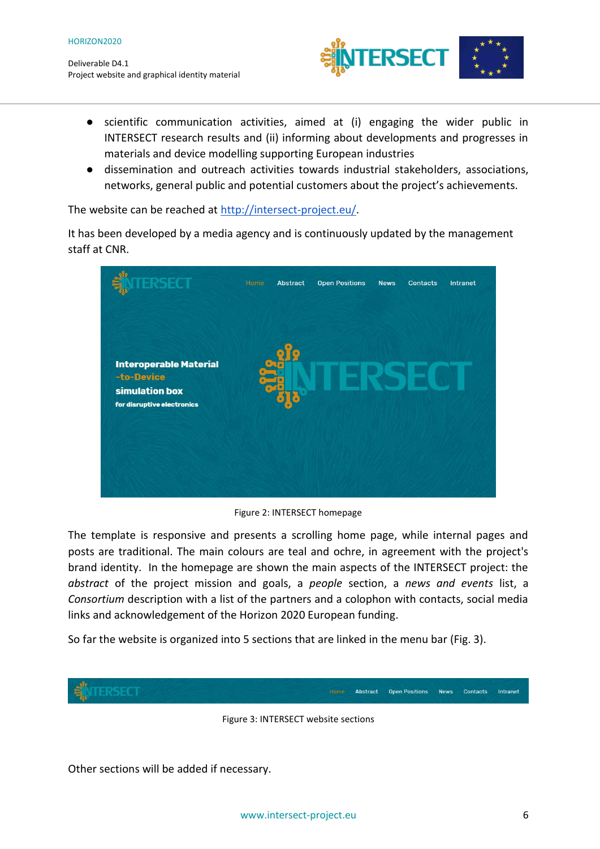

- scientific communication activities, aimed at (i) engaging the wider public in INTERSECT research results and (ii) informing about developments and progresses in materials and device modelling supporting European industries
- dissemination and outreach activities towards industrial stakeholders, associations, networks, general public and potential customers about the project's achievements.

The website can be reached at [http://intersect-project.eu/.](http://intersect-project.eu/)

It has been developed by a media agency and is continuously updated by the management staff at CNR.



Figure 2: INTERSECT homepage

The template is responsive and presents a scrolling home page, while internal pages and posts are traditional. The main colours are teal and ochre, in agreement with the project's brand identity. In the homepage are shown the main aspects of the INTERSECT project: the *abstract* of the project mission and goals, a *people* section, a *news and events* list, a *Consortium* description with a list of the partners and a colophon with contacts, social media links and acknowledgement of the Horizon 2020 European funding.

So far the website is organized into 5 sections that are linked in the menu bar (Fig. 3).



Figure 3: INTERSECT website sections

Other sections will be added if necessary.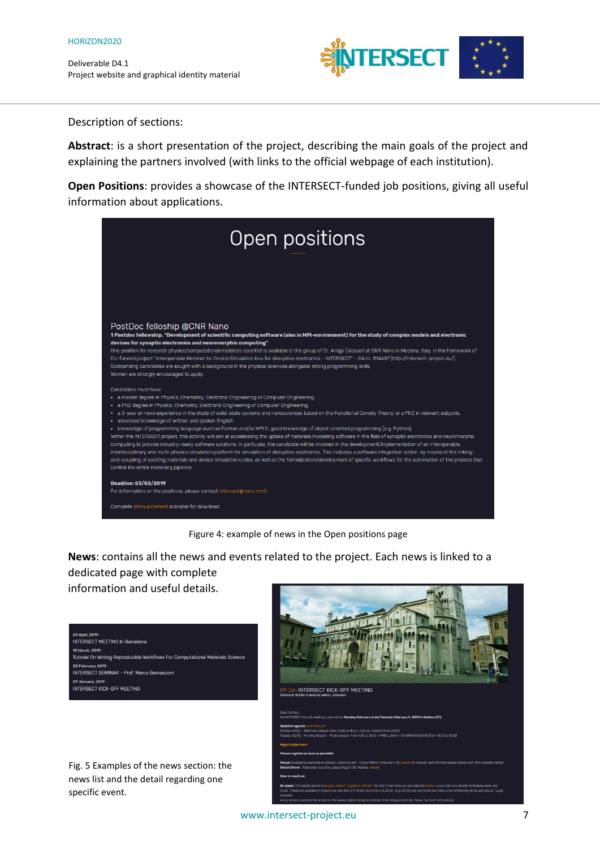

Description of sections:

**Abstract**: is a short presentation of the project, describing the main goals of the project and explaining the partners involved (with links to the official webpage of each institution).

**Open Positions**: provides a showcase of the INTERSECT-funded job positions, giving all useful information about applications.





**News**: contains all the news and events related to the project. Each news is linked to a dedicated page with complete information and useful details.

| 09 April, 2019 ·                                                               |
|--------------------------------------------------------------------------------|
| <b>INTERSECT MEETING In Barcelona</b>                                          |
| 18 March, 2019 ·                                                               |
| Tutorial On Writing Reproducible Workflows For Computational Materials Science |
| 28 February, 2019 -                                                            |
| <b>INTERSECT SEMINAR - Prof Marco Bernasconi</b>                               |
| 09 January, 2019 -                                                             |
| <b>INTERSECT KICK-OFF MEETING</b>                                              |
|                                                                                |
|                                                                                |
|                                                                                |

Fig. 5 Examples of the news section: the news list and the detail regarding one specific event.

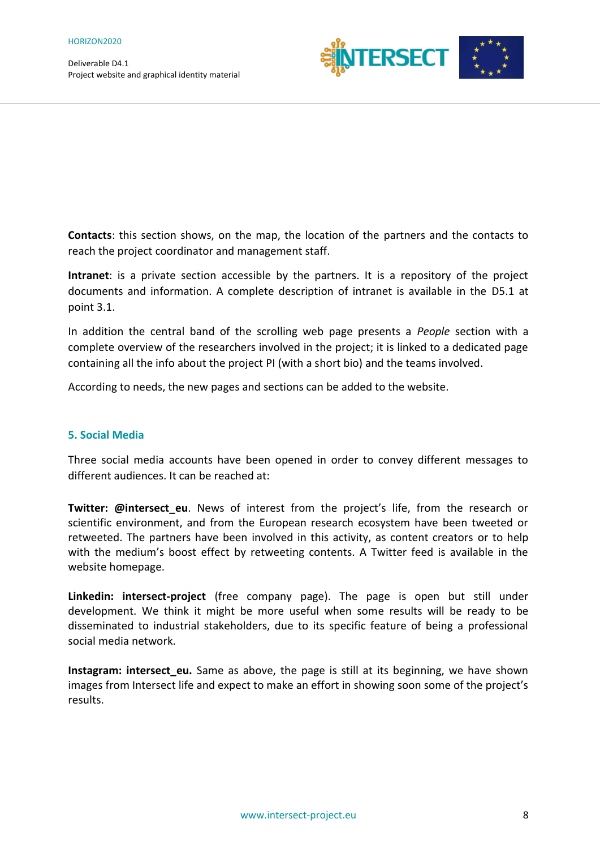

**Contacts**: this section shows, on the map, the location of the partners and the contacts to reach the project coordinator and management staff.

**Intranet**: is a private section accessible by the partners. It is a repository of the project documents and information. A complete description of intranet is available in the D5.1 at point 3.1.

In addition the central band of the scrolling web page presents a *People* section with a complete overview of the researchers involved in the project; it is linked to a dedicated page containing all the info about the project PI (with a short bio) and the teams involved.

According to needs, the new pages and sections can be added to the website.

#### <span id="page-7-0"></span>**5. Social Media**

Three social media accounts have been opened in order to convey different messages to different audiences. It can be reached at:

Twitter: @intersect eu. News of interest from the project's life, from the research or scientific environment, and from the European research ecosystem have been tweeted or retweeted. The partners have been involved in this activity, as content creators or to help with the medium's boost effect by retweeting contents. A Twitter feed is available in the website homepage.

**Linkedin: intersect-project** (free company page). The page is open but still under development. We think it might be more useful when some results will be ready to be disseminated to industrial stakeholders, due to its specific feature of being a professional social media network.

**Instagram: intersect eu.** Same as above, the page is still at its beginning, we have shown images from Intersect life and expect to make an effort in showing soon some of the project's results.